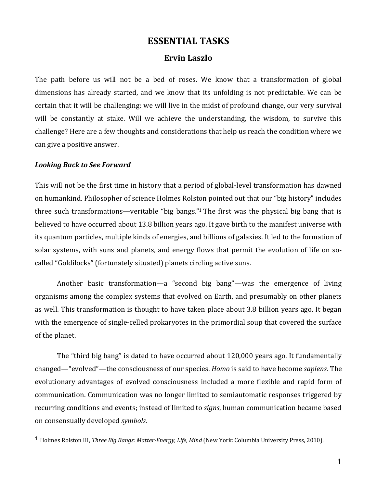# **ESSENTIAL TASKS**

## **Ervin Laszlo**

The path before us will not be a bed of roses. We know that a transformation of global dimensions has already started, and we know that its unfolding is not predictable. We can be certain that it will be challenging: we will live in the midst of profound change, our very survival will be constantly at stake. Will we achieve the understanding, the wisdom, to survive this challenge? Here are a few thoughts and considerations that help us reach the condition where we can give a positive answer.

#### *Looking Back to See Forward*

This will not be the first time in history that a period of global-level transformation has dawned on humankind. Philosopher of science Holmes Rolston pointed out that our "big history" includes three such transformations—veritable "big bangs."<sup>1</sup> The first was the physical big bang that is believed to have occurred about 13.8 billion years ago. It gave birth to the manifest universe with its quantum particles, multiple kinds of energies, and billions of galaxies. It led to the formation of solar systems, with suns and planets, and energy flows that permit the evolution of life on socalled "Goldilocks" (fortunately situated) planets circling active suns.

Another basic transformation—a "second big bang"—was the emergence of living organisms among the complex systems that evolved on Earth, and presumably on other planets as well. This transformation is thought to have taken place about 3.8 billion years ago. It began with the emergence of single-celled prokaryotes in the primordial soup that covered the surface of the planet.

The "third big bang" is dated to have occurred about 120,000 years ago. It fundamentally changed—"evolved"—the consciousness of our species. *Homo* is said to have become *sapiens*. The evolutionary advantages of evolved consciousness included a more flexible and rapid form of communication. Communication was no longer limited to semiautomatic responses triggered by recurring conditions and events; instead of limited to *signs*, human communication became based on consensually developed *symbols*.

<sup>&</sup>lt;sup>1</sup> Holmes Rolston III, *Three Big Bangs: Matter-Energy, Life, Mind* (New York: Columbia University Press, 2010).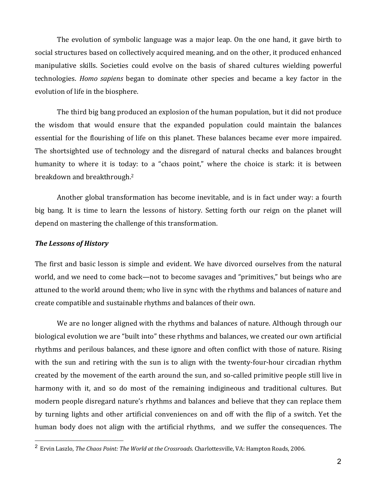The evolution of symbolic language was a major leap. On the one hand, it gave birth to social structures based on collectively acquired meaning, and on the other, it produced enhanced manipulative skills. Societies could evolve on the basis of shared cultures wielding powerful technologies. *Homo sapiens* began to dominate other species and became a key factor in the evolution of life in the biosphere.

The third big bang produced an explosion of the human population, but it did not produce the wisdom that would ensure that the expanded population could maintain the balances essential for the flourishing of life on this planet. These balances became ever more impaired. The shortsighted use of technology and the disregard of natural checks and balances brought humanity to where it is today: to a "chaos point," where the choice is stark: it is between breakdown and breakthrough.<sup>2</sup>

Another global transformation has become inevitable, and is in fact under way: a fourth big bang. It is time to learn the lessons of history. Setting forth our reign on the planet will depend on mastering the challenge of this transformation.

## *The Lessons of History*

The first and basic lesson is simple and evident. We have divorced ourselves from the natural world, and we need to come back—not to become savages and "primitives," but beings who are attuned to the world around them; who live in sync with the rhythms and balances of nature and create compatible and sustainable rhythms and balances of their own.

We are no longer aligned with the rhythms and balances of nature. Although through our biological evolution we are "built into" these rhythms and balances, we created our own artificial rhythms and perilous balances, and these ignore and often conflict with those of nature. Rising with the sun and retiring with the sun is to align with the twenty-four-hour circadian rhythm created by the movement of the earth around the sun, and so-called primitive people still live in harmony with it, and so do most of the remaining indigineous and traditional cultures. But modern people disregard nature's rhythms and balances and believe that they can replace them by turning lights and other artificial conveniences on and off with the flip of a switch. Yet the human body does not align with the artificial rhythms, and we suffer the consequences. The

<sup>&</sup>lt;sup>2</sup> Ervin Laszlo, *The Chaos Point: The World at the Crossroads*. Charlottesville, VA: Hampton Roads, 2006.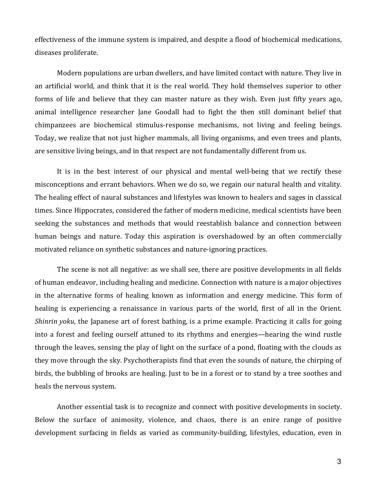effectiveness of the immune system is impaired, and despite a flood of biochemical medications, diseases proliferate.

Modern populations are urban dwellers, and have limited contact with nature. They live in an artificial world, and think that it is the real world. They hold themselves superior to other forms of life and believe that they can master nature as they wish. Even just fifty years ago, animal intelligence researcher Jane Goodall had to fight the then still dominant belief that chimpanzees are biochemical stimulus-response mechanisms, not living and feeling beings. Today, we realize that not just higher mammals, all living organisms, and even trees and plants, are sensitive living beings, and in that respect are not fundamentally different from us.

It is in the best interest of our physical and mental well-being that we rectify these misconceptions and errant behaviors. When we do so, we regain our natural health and vitality. The healing effect of naural substances and lifestyles was known to healers and sages in classical times. Since Hippocrates, considered the father of modern medicine, medical scientists have been seeking the substances and methods that would reestablish balance and connection between human beings and nature. Today this aspiration is overshadowed by an often commercially motivated reliance on synthetic substances and nature-ignoring practices.

The scene is not all negative: as we shall see, there are positive developments in all fields of human endeavor, including healing and medicine. Connection with nature is a major objectives in the alternative forms of healing known as information and energy medicine. This form of healing is experiencing a renaissance in various parts of the world, first of all in the Orient. *Shinrin yoku*, the Japanese art of forest bathing, is a prime example. Practicing it calls for going into a forest and feeling ourself attuned to its rhythms and energies—hearing the wind rustle through the leaves, sensing the play of light on the surface of a pond, floating with the clouds as they move through the sky. Psychotherapists find that even the sounds of nature, the chirping of birds, the bubbling of brooks are healing. Just to be in a forest or to stand by a tree soothes and heals the nervous system.

Another essential task is to recognize and connect with positive developments in society. Below the surface of animosity, violence, and chaos, there is an enire range of positive development surfacing in fields as varied as community-building, lifestyles, education, even in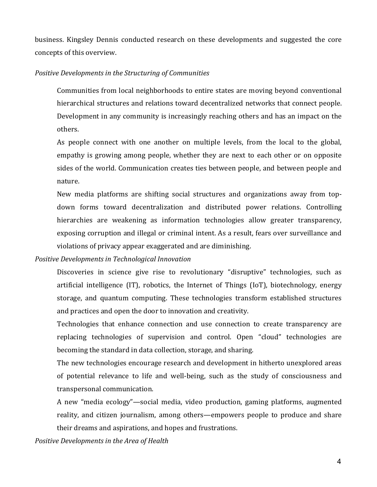business. Kingsley Dennis conducted research on these developments and suggested the core concepts of this overview.

#### *Positive Developments in the Structuring of Communities*

Communities from local neighborhoods to entire states are moving beyond conventional hierarchical structures and relations toward decentralized networks that connect people. Development in any community is increasingly reaching others and has an impact on the others.

As people connect with one another on multiple levels, from the local to the global, empathy is growing among people, whether they are next to each other or on opposite sides of the world. Communication creates ties between people, and between people and nature.

New media platforms are shifting social structures and organizations away from topdown forms toward decentralization and distributed power relations. Controlling hierarchies are weakening as information technologies allow greater transparency, exposing corruption and illegal or criminal intent. As a result, fears over surveillance and violations of privacy appear exaggerated and are diminishing.

*Positive Developments in Technological Innovation*

Discoveries in science give rise to revolutionary "disruptive" technologies, such as artificial intelligence (IT), robotics, the Internet of Things (IoT), biotechnology, energy storage, and quantum computing. These technologies transform established structures and practices and open the door to innovation and creativity.

Technologies that enhance connection and use connection to create transparency are replacing technologies of supervision and control. Open "cloud" technologies are becoming the standard in data collection, storage, and sharing.

The new technologies encourage research and development in hitherto unexplored areas of potential relevance to life and well-being, such as the study of consciousness and transpersonal communication.

A new "media ecology"—social media, video production, gaming platforms, augmented reality, and citizen journalism, among others—empowers people to produce and share their dreams and aspirations, and hopes and frustrations.

*Positive Developments in the Area of Health*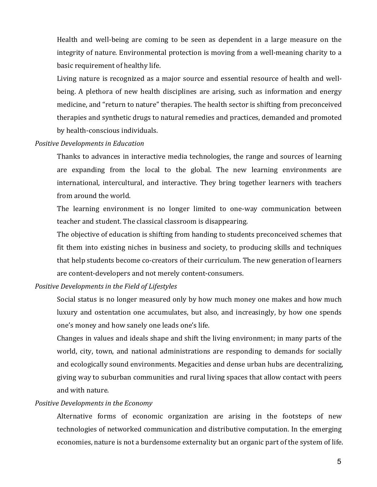Health and well-being are coming to be seen as dependent in a large measure on the integrity of nature. Environmental protection is moving from a well-meaning charity to a basic requirement of healthy life.

Living nature is recognized as a major source and essential resource of health and wellbeing. A plethora of new health disciplines are arising, such as information and energy medicine, and "return to nature" therapies. The health sector is shifting from preconceived therapies and synthetic drugs to natural remedies and practices, demanded and promoted by health-conscious individuals.

## **Positive Developments in Education**

Thanks to advances in interactive media technologies, the range and sources of learning are expanding from the local to the global. The new learning environments are international, intercultural, and interactive. They bring together learners with teachers from around the world.

The learning environment is no longer limited to one-way communication between teacher and student. The classical classroom is disappearing.

The objective of education is shifting from handing to students preconceived schemes that fit them into existing niches in business and society, to producing skills and techniques that help students become co-creators of their curriculum. The new generation of learners are content-developers and not merely content-consumers.

#### *Positive Developments in the Field of Lifestyles*

Social status is no longer measured only by how much money one makes and how much luxury and ostentation one accumulates, but also, and increasingly, by how one spends one's money and how sanely one leads one's life.

Changes in values and ideals shape and shift the living environment; in many parts of the world, city, town, and national administrations are responding to demands for socially and ecologically sound environments. Megacities and dense urban hubs are decentralizing, giving way to suburban communities and rural living spaces that allow contact with peers and with nature.

### *Positive Developments in the Economy*

Alternative forms of economic organization are arising in the footsteps of new technologies of networked communication and distributive computation. In the emerging economies, nature is not a burdensome externality but an organic part of the system of life.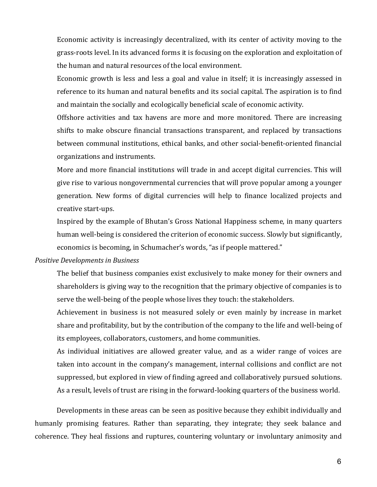Economic activity is increasingly decentralized, with its center of activity moving to the grass-roots level. In its advanced forms it is focusing on the exploration and exploitation of the human and natural resources of the local environment.

Economic growth is less and less a goal and value in itself; it is increasingly assessed in reference to its human and natural benefits and its social capital. The aspiration is to find and maintain the socially and ecologically beneficial scale of economic activity.

Offshore activities and tax havens are more and more monitored. There are increasing shifts to make obscure financial transactions transparent, and replaced by transactions between communal institutions, ethical banks, and other social-benefit-oriented financial organizations and instruments.

More and more financial institutions will trade in and accept digital currencies. This will give rise to various nongovernmental currencies that will prove popular among a younger generation. New forms of digital currencies will help to finance localized projects and creative start-ups.

Inspired by the example of Bhutan's Gross National Happiness scheme, in many quarters human well-being is considered the criterion of economic success. Slowly but significantly, economics is becoming, in Schumacher's words, "as if people mattered."

### *Positive Developments in Business*

The belief that business companies exist exclusively to make money for their owners and shareholders is giving way to the recognition that the primary objective of companies is to serve the well-being of the people whose lives they touch: the stakeholders.

Achievement in business is not measured solely or even mainly by increase in market share and profitability, but by the contribution of the company to the life and well-being of its employees, collaborators, customers, and home communities.

As individual initiatives are allowed greater value, and as a wider range of voices are taken into account in the company's management, internal collisions and conflict are not suppressed, but explored in view of finding agreed and collaboratively pursued solutions. As a result, levels of trust are rising in the forward-looking quarters of the business world.

Developments in these areas can be seen as positive because they exhibit individually and humanly promising features. Rather than separating, they integrate; they seek balance and coherence. They heal fissions and ruptures, countering voluntary or involuntary animosity and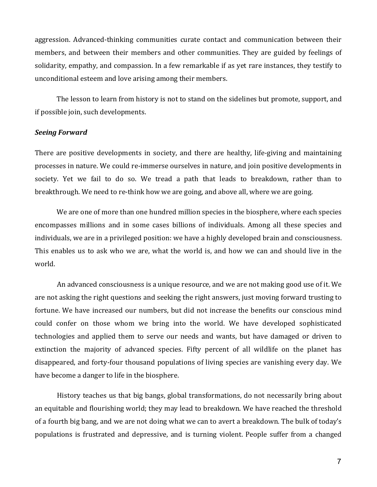aggression. Advanced-thinking communities curate contact and communication between their members, and between their members and other communities. They are guided by feelings of solidarity, empathy, and compassion. In a few remarkable if as yet rare instances, they testify to unconditional esteem and love arising among their members.

The lesson to learn from history is not to stand on the sidelines but promote, support, and if possible join, such developments.

## *Seeing Forward*

There are positive developments in society, and there are healthy, life-giving and maintaining processes in nature. We could re-immerse ourselves in nature, and join positive developments in society. Yet we fail to do so. We tread a path that leads to breakdown, rather than to breakthrough. We need to re-think how we are going, and above all, where we are going.

We are one of more than one hundred million species in the biosphere, where each species encompasses millions and in some cases billions of individuals. Among all these species and individuals, we are in a privileged position: we have a highly developed brain and consciousness. This enables us to ask who we are, what the world is, and how we can and should live in the world.

An advanced consciousness is a unique resource, and we are not making good use of it. We are not asking the right questions and seeking the right answers, just moving forward trusting to fortune. We have increased our numbers, but did not increase the benefits our conscious mind could confer on those whom we bring into the world. We have developed sophisticated technologies and applied them to serve our needs and wants, but have damaged or driven to extinction the majority of advanced species. Fifty percent of all wildlife on the planet has disappeared, and forty-four thousand populations of living species are vanishing every day. We have become a danger to life in the biosphere.

History teaches us that big bangs, global transformations, do not necessarily bring about an equitable and flourishing world; they may lead to breakdown. We have reached the threshold of a fourth big bang, and we are not doing what we can to avert a breakdown. The bulk of today's populations is frustrated and depressive, and is turning violent. People suffer from a changed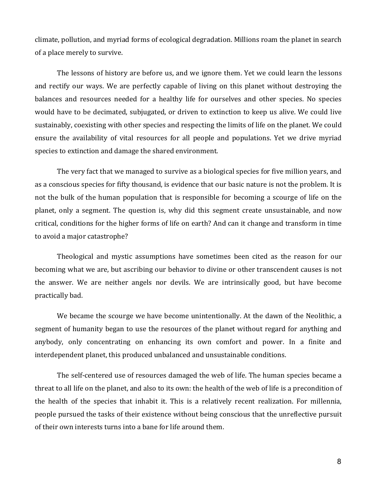climate, pollution, and myriad forms of ecological degradation. Millions roam the planet in search of a place merely to survive.

The lessons of history are before us, and we ignore them. Yet we could learn the lessons and rectify our ways. We are perfectly capable of living on this planet without destroying the balances and resources needed for a healthy life for ourselves and other species. No species would have to be decimated, subjugated, or driven to extinction to keep us alive. We could live sustainably, coexisting with other species and respecting the limits of life on the planet. We could ensure the availability of vital resources for all people and populations. Yet we drive myriad species to extinction and damage the shared environment.

The very fact that we managed to survive as a biological species for five million years, and as a conscious species for fifty thousand, is evidence that our basic nature is not the problem. It is not the bulk of the human population that is responsible for becoming a scourge of life on the planet, only a segment. The question is, why did this segment create unsustainable, and now critical, conditions for the higher forms of life on earth? And can it change and transform in time to avoid a major catastrophe?

Theological and mystic assumptions have sometimes been cited as the reason for our becoming what we are, but ascribing our behavior to divine or other transcendent causes is not the answer. We are neither angels nor devils. We are intrinsically good, but have become practically bad.

We became the scourge we have become unintentionally. At the dawn of the Neolithic, a segment of humanity began to use the resources of the planet without regard for anything and anybody, only concentrating on enhancing its own comfort and power. In a finite and interdependent planet, this produced unbalanced and unsustainable conditions.

The self-centered use of resources damaged the web of life. The human species became a threat to all life on the planet, and also to its own: the health of the web of life is a precondition of the health of the species that inhabit it. This is a relatively recent realization. For millennia, people pursued the tasks of their existence without being conscious that the unreflective pursuit of their own interests turns into a bane for life around them.

8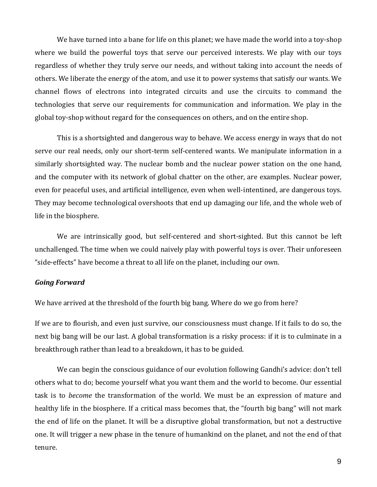We have turned into a bane for life on this planet; we have made the world into a toy-shop where we build the powerful toys that serve our perceived interests. We play with our toys regardless of whether they truly serve our needs, and without taking into account the needs of others. We liberate the energy of the atom, and use it to power systems that satisfy our wants. We channel flows of electrons into integrated circuits and use the circuits to command the technologies that serve our requirements for communication and information. We play in the global toy-shop without regard for the consequences on others, and on the entire shop.

This is a shortsighted and dangerous way to behave. We access energy in ways that do not serve our real needs, only our short-term self-centered wants. We manipulate information in a similarly shortsighted way. The nuclear bomb and the nuclear power station on the one hand, and the computer with its network of global chatter on the other, are examples. Nuclear power, even for peaceful uses, and artificial intelligence, even when well-intentined, are dangerous toys. They may become technological overshoots that end up damaging our life, and the whole web of life in the biosphere.

We are intrinsically good, but self-centered and short-sighted. But this cannot be left unchallenged. The time when we could naively play with powerful toys is over. Their unforeseen "side-effects" have become a threat to all life on the planet, including our own.

### *Going Forward*

We have arrived at the threshold of the fourth big bang. Where do we go from here?

If we are to flourish, and even just survive, our consciousness must change. If it fails to do so, the next big bang will be our last. A global transformation is a risky process: if it is to culminate in a breakthrough rather than lead to a breakdown, it has to be guided.

We can begin the conscious guidance of our evolution following Gandhi's advice: don't tell others what to do; become yourself what you want them and the world to become. Our essential task is to *become* the transformation of the world. We must be an expression of mature and healthy life in the biosphere. If a critical mass becomes that, the "fourth big bang" will not mark the end of life on the planet. It will be a disruptive global transformation, but not a destructive one. It will trigger a new phase in the tenure of humankind on the planet, and not the end of that tenure.